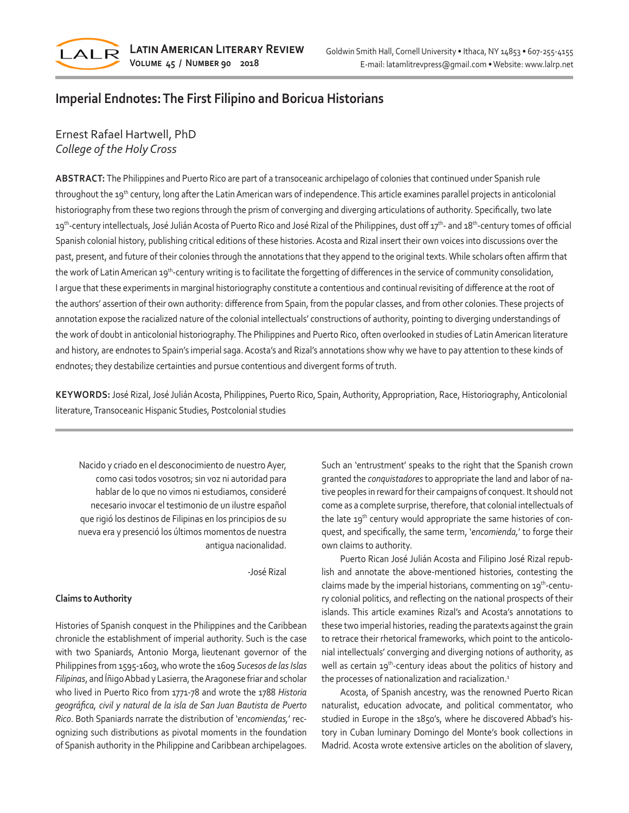

# **Imperial Endnotes: The First Filipino and Boricua Historians**

## Ernest Rafael Hartwell, PhD *College of the Holy Cross*

**ABSTRACT:** The Philippines and Puerto Rico are part of a transoceanic archipelago of colonies that continued under Spanish rule throughout the 19<sup>th</sup> century, long after the Latin American wars of independence. This article examines parallel projects in anticolonial historiography from these two regions through the prism of converging and diverging articulations of authority. Specifically, two late 19<sup>th</sup>-century intellectuals, José Julián Acosta of Puerto Rico and José Rizal of the Philippines, dust off 17<sup>th</sup>- and 18<sup>th</sup>-century tomes of official Spanish colonial history, publishing critical editions of these histories. Acosta and Rizal insert their own voices into discussions over the past, present, and future of their colonies through the annotations that they append to the original texts. While scholars often affirm that the work of Latin American 19<sup>th</sup>-century writing is to facilitate the forgetting of differences in the service of community consolidation, I argue that these experiments in marginal historiography constitute a contentious and continual revisiting of difference at the root of the authors' assertion of their own authority: difference from Spain, from the popular classes, and from other colonies. These projects of annotation expose the racialized nature of the colonial intellectuals' constructions of authority, pointing to diverging understandings of the work of doubt in anticolonial historiography. The Philippines and Puerto Rico, often overlooked in studies of Latin American literature and history, are endnotes to Spain's imperial saga. Acosta's and Rizal's annotations show why we have to pay attention to these kinds of endnotes; they destabilize certainties and pursue contentious and divergent forms of truth.

**KEYWORDS:** José Rizal, José Julián Acosta, Philippines, Puerto Rico, Spain, Authority, Appropriation, Race, Historiography, Anticolonial literature, Transoceanic Hispanic Studies, Postcolonial studies

Nacido y criado en el desconocimiento de nuestro Ayer, como casi todos vosotros; sin voz ni autoridad para hablar de lo que no vimos ni estudiamos, consideré necesario invocar el testimonio de un ilustre español que rigió los destinos de Filipinas en los principios de su nueva era y presenció los últimos momentos de nuestra antigua nacionalidad.

-José Rizal

### **Claims to Authority**

Histories of Spanish conquest in the Philippines and the Caribbean chronicle the establishment of imperial authority. Such is the case with two Spaniards, Antonio Morga, lieutenant governor of the Philippines from 1595-1603, who wrote the 1609 *Sucesos de las Islas Filipinas*, and Íñigo Abbad y Lasierra, the Aragonese friar and scholar who lived in Puerto Rico from 1771-78 and wrote the 1788 *Historia geográfica, civil y natural de la isla de San Juan Bautista de Puerto Rico*. Both Spaniards narrate the distribution of '*encomiendas,*' recognizing such distributions as pivotal moments in the foundation of Spanish authority in the Philippine and Caribbean archipelagoes.

Such an 'entrustment' speaks to the right that the Spanish crown granted the *conquistadores* to appropriate the land and labor of native peoples in reward for their campaigns of conquest. It should not come as a complete surprise, therefore, that colonial intellectuals of the late 19<sup>th</sup> century would appropriate the same histories of conquest, and specifically, the same term, '*encomienda,*' to forge their own claims to authority.

Puerto Rican José Julián Acosta and Filipino José Rizal republish and annotate the above-mentioned histories, contesting the claims made by the imperial historians, commenting on 19<sup>th</sup>-century colonial politics, and reflecting on the national prospects of their islands. This article examines Rizal's and Acosta's annotations to these two imperial histories, reading the paratexts against the grain to retrace their rhetorical frameworks, which point to the anticolonial intellectuals' converging and diverging notions of authority, as well as certain 19<sup>th</sup>-century ideas about the politics of history and the processes of nationalization and racialization.<sup>1</sup>

Acosta, of Spanish ancestry, was the renowned Puerto Rican naturalist, education advocate, and political commentator, who studied in Europe in the 1850's, where he discovered Abbad's history in Cuban luminary Domingo del Monte's book collections in Madrid. Acosta wrote extensive articles on the abolition of slavery,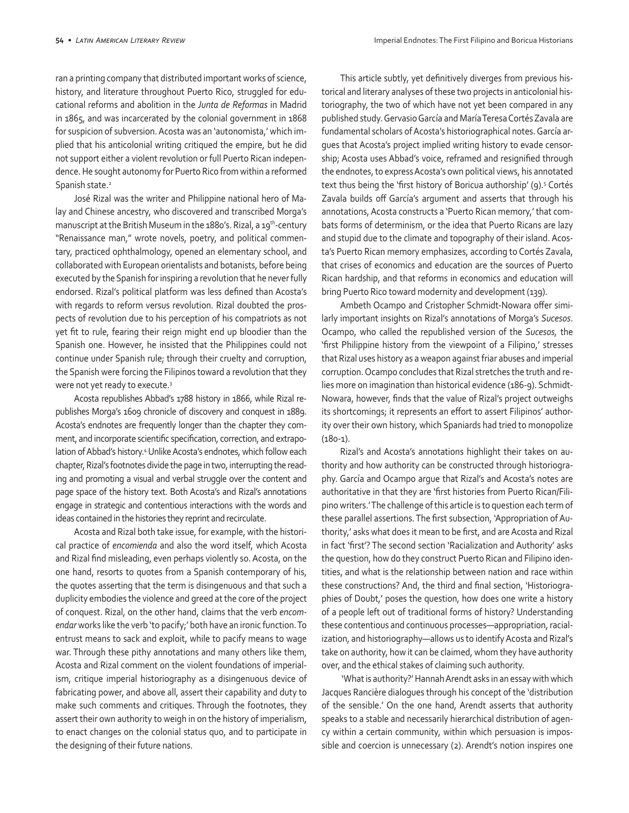ran a printing company that distributed important works of science, history, and literature throughout Puerto Rico, struggled for educational reforms and abolition in the *Junta de Reformas* in Madrid in 1865, and was incarcerated by the colonial government in 1868 for suspicion of subversion. Acosta was an 'autonomista,' which implied that his anticolonial writing critiqued the empire, but he did not support either a violent revolution or full Puerto Rican independence. He sought autonomy for Puerto Rico from within a reformed Spanish state.<sup>2</sup>

José Rizal was the writer and Philippine national hero of Malay and Chinese ancestry, who discovered and transcribed Morga's manuscript at the British Museum in the 1880's. Rizal, a 19<sup>th</sup>-century "Renaissance man," wrote novels, poetry, and political commentary, practiced ophthalmology, opened an elementary school, and collaborated with European orientalists and botanists, before being executed by the Spanish for inspiring a revolution that he never fully endorsed. Rizal's political platform was less defined than Acosta's with regards to reform versus revolution. Rizal doubted the prospects of revolution due to his perception of his compatriots as not yet fit to rule, fearing their reign might end up bloodier than the Spanish one. However, he insisted that the Philippines could not continue under Spanish rule; through their cruelty and corruption, the Spanish were forcing the Filipinos toward a revolution that they were not yet ready to execute.<sup>3</sup>

Acosta republishes Abbad's 1788 history in 1866, while Rizal republishes Morga's 1609 chronicle of discovery and conquest in 1889. Acosta's endnotes are frequently longer than the chapter they comment, and incorporate scientific specification, correction, and extrapolation of Abbad's history.4 Unlike Acosta's endnotes, which follow each chapter, Rizal's footnotes divide the page in two, interrupting the reading and promoting a visual and verbal struggle over the content and page space of the history text. Both Acosta's and Rizal's annotations engage in strategic and contentious interactions with the words and ideas contained in the histories they reprint and recirculate.

Acosta and Rizal both take issue, for example, with the historical practice of *encomienda* and also the word itself, which Acosta and Rizal find misleading, even perhaps violently so. Acosta, on the one hand, resorts to quotes from a Spanish contemporary of his, the quotes asserting that the term is disingenuous and that such a duplicity embodies the violence and greed at the core of the project of conquest. Rizal, on the other hand, claims that the verb *encomendar* works like the verb 'to pacify;' both have an ironic function. To entrust means to sack and exploit, while to pacify means to wage war. Through these pithy annotations and many others like them, Acosta and Rizal comment on the violent foundations of imperialism, critique imperial historiography as a disingenuous device of fabricating power, and above all, assert their capability and duty to make such comments and critiques. Through the footnotes, they assert their own authority to weigh in on the history of imperialism, to enact changes on the colonial status quo, and to participate in the designing of their future nations.

This article subtly, yet definitively diverges from previous historical and literary analyses of these two projects in anticolonial historiography, the two of which have not yet been compared in any published study. Gervasio García and María Teresa Cortés Zavala are fundamental scholars of Acosta's historiographical notes. García argues that Acosta's project implied writing history to evade censorship; Acosta uses Abbad's voice, reframed and resignified through the endnotes, to express Acosta's own political views, his annotated text thus being the 'first history of Boricua authorship' (9).<sup>5</sup> Cortés Zavala builds off García's argument and asserts that through his annotations, Acosta constructs a 'Puerto Rican memory,' that combats forms of determinism, or the idea that Puerto Ricans are lazy and stupid due to the climate and topography of their island. Acosta's Puerto Rican memory emphasizes, according to Cortés Zavala, that crises of economics and education are the sources of Puerto Rican hardship, and that reforms in economics and education will bring Puerto Rico toward modernity and development (139).

Ambeth Ocampo and Cristopher Schmidt-Nowara offer similarly important insights on Rizal's annotations of Morga's *Sucesos*. Ocampo, who called the republished version of the *Sucesos,* the 'first Philippine history from the viewpoint of a Filipino,' stresses that Rizal uses history as a weapon against friar abuses and imperial corruption. Ocampo concludes that Rizal stretches the truth and relies more on imagination than historical evidence (186-9). Schmidt-Nowara, however, finds that the value of Rizal's project outweighs its shortcomings; it represents an effort to assert Filipinos' authority over their own history, which Spaniards had tried to monopolize (180-1).

Rizal's and Acosta's annotations highlight their takes on authority and how authority can be constructed through historiography. García and Ocampo argue that Rizal's and Acosta's notes are authoritative in that they are 'first histories from Puerto Rican/Filipino writers.' The challenge of this article is to question each term of these parallel assertions. The first subsection, 'Appropriation of Authority,' asks what does it mean to be first, and are Acosta and Rizal in fact 'first'? The second section 'Racialization and Authority' asks the question, how do they construct Puerto Rican and Filipino identities, and what is the relationship between nation and race within these constructions? And, the third and final section, 'Historiographies of Doubt,' poses the question, how does one write a history of a people left out of traditional forms of history? Understanding these contentious and continuous processes—appropriation, racialization, and historiography—allows us to identify Acosta and Rizal's take on authority, how it can be claimed, whom they have authority over, and the ethical stakes of claiming such authority.

 'What is authority?' Hannah Arendt asks in an essay with which Jacques Rancière dialogues through his concept of the 'distribution of the sensible.' On the one hand, Arendt asserts that authority speaks to a stable and necessarily hierarchical distribution of agency within a certain community, within which persuasion is impossible and coercion is unnecessary (2). Arendt's notion inspires one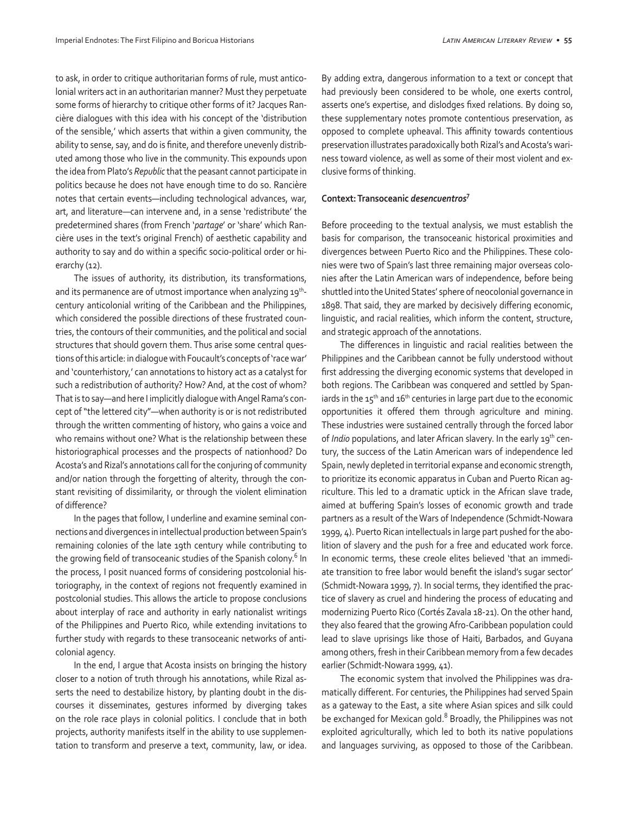to ask, in order to critique authoritarian forms of rule, must anticolonial writers act in an authoritarian manner? Must they perpetuate some forms of hierarchy to critique other forms of it? Jacques Rancière dialogues with this idea with his concept of the 'distribution of the sensible,' which asserts that within a given community, the ability to sense, say, and do is finite, and therefore unevenly distributed among those who live in the community. This expounds upon the idea from Plato's *Republic* that the peasant cannot participate in politics because he does not have enough time to do so. Rancière notes that certain events—including technological advances, war, art, and literature—can intervene and, in a sense 'redistribute' the predetermined shares (from French '*partage*' or 'share' which Rancière uses in the text's original French) of aesthetic capability and authority to say and do within a specific socio-political order or hierarchy (12).

The issues of authority, its distribution, its transformations, and its permanence are of utmost importance when analyzing 19<sup>th</sup>century anticolonial writing of the Caribbean and the Philippines, which considered the possible directions of these frustrated countries, the contours of their communities, and the political and social structures that should govern them. Thus arise some central questions of this article: in dialogue with Foucault's concepts of 'race war' and 'counterhistory,' can annotations to history act as a catalyst for such a redistribution of authority? How? And, at the cost of whom? That is to say—and here I implicitly dialogue with Angel Rama's concept of "the lettered city"—when authority is or is not redistributed through the written commenting of history, who gains a voice and who remains without one? What is the relationship between these historiographical processes and the prospects of nationhood? Do Acosta's and Rizal's annotations call for the conjuring of community and/or nation through the forgetting of alterity, through the constant revisiting of dissimilarity, or through the violent elimination of difference?

In the pages that follow, I underline and examine seminal connections and divergences in intellectual production between Spain's remaining colonies of the late 19th century while contributing to the growing field of transoceanic studies of the Spanish colony.<sup>6</sup> In the process, I posit nuanced forms of considering postcolonial historiography, in the context of regions not frequently examined in postcolonial studies. This allows the article to propose conclusions about interplay of race and authority in early nationalist writings of the Philippines and Puerto Rico, while extending invitations to further study with regards to these transoceanic networks of anticolonial agency.

In the end, I argue that Acosta insists on bringing the history closer to a notion of truth through his annotations, while Rizal asserts the need to destabilize history, by planting doubt in the discourses it disseminates, gestures informed by diverging takes on the role race plays in colonial politics. I conclude that in both projects, authority manifests itself in the ability to use supplementation to transform and preserve a text, community, law, or idea.

By adding extra, dangerous information to a text or concept that had previously been considered to be whole, one exerts control, asserts one's expertise, and dislodges fixed relations. By doing so, these supplementary notes promote contentious preservation, as opposed to complete upheaval. This affinity towards contentious preservation illustrates paradoxically both Rizal's and Acosta's wariness toward violence, as well as some of their most violent and exclusive forms of thinking.

#### **Context: Transoceanic** *desencuentros***<sup>7</sup>**

Before proceeding to the textual analysis, we must establish the basis for comparison, the transoceanic historical proximities and divergences between Puerto Rico and the Philippines. These colonies were two of Spain's last three remaining major overseas colonies after the Latin American wars of independence, before being shuttled into the United States' sphere of neocolonial governance in 1898. That said, they are marked by decisively differing economic, linguistic, and racial realities, which inform the content, structure, and strategic approach of the annotations.

The differences in linguistic and racial realities between the Philippines and the Caribbean cannot be fully understood without first addressing the diverging economic systems that developed in both regions. The Caribbean was conquered and settled by Spaniards in the  $15<sup>th</sup>$  and  $16<sup>th</sup>$  centuries in large part due to the economic opportunities it offered them through agriculture and mining. These industries were sustained centrally through the forced labor of *Indio* populations, and later African slavery. In the early 19<sup>th</sup> century, the success of the Latin American wars of independence led Spain, newly depleted in territorial expanse and economic strength, to prioritize its economic apparatus in Cuban and Puerto Rican agriculture. This led to a dramatic uptick in the African slave trade, aimed at buffering Spain's losses of economic growth and trade partners as a result of the Wars of Independence (Schmidt-Nowara 1999, 4). Puerto Rican intellectuals in large part pushed for the abolition of slavery and the push for a free and educated work force. In economic terms, these creole elites believed 'that an immediate transition to free labor would benefit the island's sugar sector' (Schmidt-Nowara 1999, 7). In social terms, they identified the practice of slavery as cruel and hindering the process of educating and modernizing Puerto Rico (Cortés Zavala 18-21). On the other hand, they also feared that the growing Afro-Caribbean population could lead to slave uprisings like those of Haiti, Barbados, and Guyana among others, fresh in their Caribbean memory from a few decades earlier (Schmidt-Nowara 1999, 41).

The economic system that involved the Philippines was dramatically different. For centuries, the Philippines had served Spain as a gateway to the East, a site where Asian spices and silk could be exchanged for Mexican gold.<sup>8</sup> Broadly, the Philippines was not exploited agriculturally, which led to both its native populations and languages surviving, as opposed to those of the Caribbean.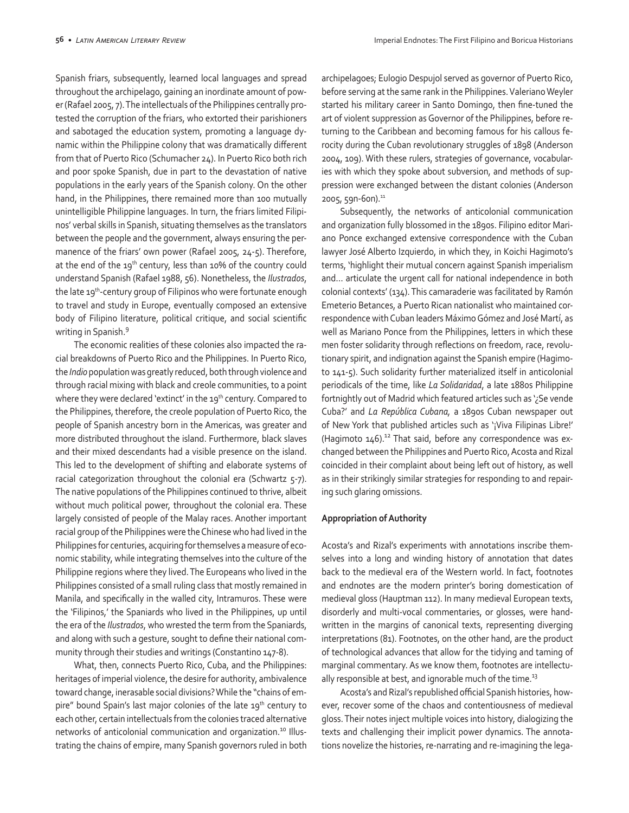Spanish friars, subsequently, learned local languages and spread throughout the archipelago, gaining an inordinate amount of power (Rafael 2005, 7). The intellectuals of the Philippines centrally protested the corruption of the friars, who extorted their parishioners and sabotaged the education system, promoting a language dynamic within the Philippine colony that was dramatically different from that of Puerto Rico (Schumacher 24). In Puerto Rico both rich and poor spoke Spanish, due in part to the devastation of native populations in the early years of the Spanish colony. On the other hand, in the Philippines, there remained more than 100 mutually unintelligible Philippine languages. In turn, the friars limited Filipinos' verbal skills in Spanish, situating themselves as the translators between the people and the government, always ensuring the permanence of the friars' own power (Rafael 2005, 24-5). Therefore, at the end of the 19<sup>th</sup> century, less than 10% of the country could understand Spanish (Rafael 1988, 56). Nonetheless, the *Ilustrados*, the late 19th-century group of Filipinos who were fortunate enough to travel and study in Europe, eventually composed an extensive body of Filipino literature, political critique, and social scientific writing in Spanish.<sup>9</sup>

The economic realities of these colonies also impacted the racial breakdowns of Puerto Rico and the Philippines. In Puerto Rico, the *Indio* population was greatly reduced, both through violence and through racial mixing with black and creole communities, to a point where they were declared 'extinct' in the 19<sup>th</sup> century. Compared to the Philippines, therefore, the creole population of Puerto Rico, the people of Spanish ancestry born in the Americas, was greater and more distributed throughout the island. Furthermore, black slaves and their mixed descendants had a visible presence on the island. This led to the development of shifting and elaborate systems of racial categorization throughout the colonial era (Schwartz 5-7). The native populations of the Philippines continued to thrive, albeit without much political power, throughout the colonial era. These largely consisted of people of the Malay races. Another important racial group of the Philippines were the Chinese who had lived in the Philippines for centuries, acquiring for themselves a measure of economic stability, while integrating themselves into the culture of the Philippine regions where they lived. The Europeans who lived in the Philippines consisted of a small ruling class that mostly remained in Manila, and specifically in the walled city, Intramuros. These were the 'Filipinos,' the Spaniards who lived in the Philippines, up until the era of the *Ilustrados*, who wrested the term from the Spaniards, and along with such a gesture, sought to define their national community through their studies and writings (Constantino 147-8).

What, then, connects Puerto Rico, Cuba, and the Philippines: heritages of imperial violence, the desire for authority, ambivalence toward change, inerasable social divisions? While the "chains of empire" bound Spain's last major colonies of the late 19<sup>th</sup> century to each other, certain intellectuals from the colonies traced alternative networks of anticolonial communication and organization.<sup>10</sup> Illustrating the chains of empire, many Spanish governors ruled in both archipelagoes; Eulogio Despujol served as governor of Puerto Rico, before serving at the same rank in the Philippines. Valeriano Weyler started his military career in Santo Domingo, then fine-tuned the art of violent suppression as Governor of the Philippines, before returning to the Caribbean and becoming famous for his callous ferocity during the Cuban revolutionary struggles of 1898 (Anderson 2004, 109). With these rulers, strategies of governance, vocabularies with which they spoke about subversion, and methods of suppression were exchanged between the distant colonies (Anderson 2005, 59n-6on).<sup>11</sup>

Subsequently, the networks of anticolonial communication and organization fully blossomed in the 1890s. Filipino editor Mariano Ponce exchanged extensive correspondence with the Cuban lawyer José Alberto Izquierdo, in which they, in Koichi Hagimoto's terms, 'highlight their mutual concern against Spanish imperialism and… articulate the urgent call for national independence in both colonial contexts' (134). This camaraderie was facilitated by Ramón Emeterio Betances, a Puerto Rican nationalist who maintained correspondence with Cuban leaders Máximo Gómez and José Martí, as well as Mariano Ponce from the Philippines, letters in which these men foster solidarity through reflections on freedom, race, revolutionary spirit, and indignation against the Spanish empire (Hagimoto 141-5). Such solidarity further materialized itself in anticolonial periodicals of the time, like *La Solidaridad*, a late 1880s Philippine fortnightly out of Madrid which featured articles such as '¿Se vende Cuba?' and *La República Cubana,* a 1890s Cuban newspaper out of New York that published articles such as '¡Viva Filipinas Libre!' (Hagimoto  $146$ ).<sup>12</sup> That said, before any correspondence was exchanged between the Philippines and Puerto Rico, Acosta and Rizal coincided in their complaint about being left out of history, as well as in their strikingly similar strategies for responding to and repairing such glaring omissions.

#### **Appropriation of Authority**

Acosta's and Rizal's experiments with annotations inscribe themselves into a long and winding history of annotation that dates back to the medieval era of the Western world. In fact, footnotes and endnotes are the modern printer's boring domestication of medieval gloss (Hauptman 112). In many medieval European texts, disorderly and multi-vocal commentaries, or glosses, were handwritten in the margins of canonical texts, representing diverging interpretations (81). Footnotes, on the other hand, are the product of technological advances that allow for the tidying and taming of marginal commentary. As we know them, footnotes are intellectually responsible at best, and ignorable much of the time. $^{13}$ 

Acosta's and Rizal's republished official Spanish histories, however, recover some of the chaos and contentiousness of medieval gloss. Their notes inject multiple voices into history, dialogizing the texts and challenging their implicit power dynamics. The annotations novelize the histories, re-narrating and re-imagining the lega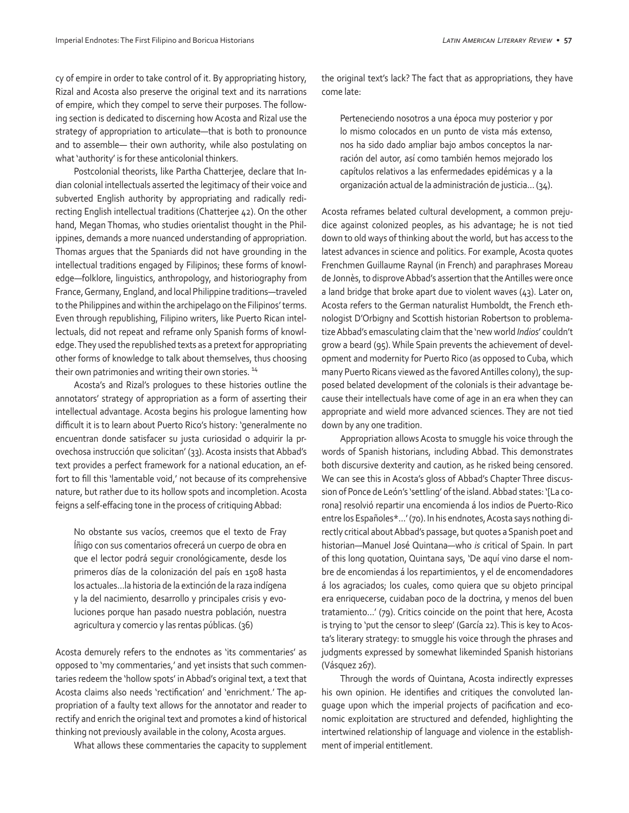cy of empire in order to take control of it. By appropriating history, Rizal and Acosta also preserve the original text and its narrations of empire, which they compel to serve their purposes. The following section is dedicated to discerning how Acosta and Rizal use the strategy of appropriation to articulate—that is both to pronounce and to assemble— their own authority, while also postulating on what 'authority' is for these anticolonial thinkers.

Postcolonial theorists, like Partha Chatterjee, declare that Indian colonial intellectuals asserted the legitimacy of their voice and subverted English authority by appropriating and radically redirecting English intellectual traditions (Chatterjee 42). On the other hand, Megan Thomas, who studies orientalist thought in the Philippines, demands a more nuanced understanding of appropriation. Thomas argues that the Spaniards did not have grounding in the intellectual traditions engaged by Filipinos; these forms of knowledge—folklore, linguistics, anthropology, and historiography from France, Germany, England, and local Philippine traditions—traveled to the Philippines and within the archipelago on the Filipinos' terms. Even through republishing, Filipino writers, like Puerto Rican intellectuals, did not repeat and reframe only Spanish forms of knowledge. They used the republished texts as a pretext for appropriating other forms of knowledge to talk about themselves, thus choosing their own patrimonies and writing their own stories.<sup>14</sup>

Acosta's and Rizal's prologues to these histories outline the annotators' strategy of appropriation as a form of asserting their intellectual advantage. Acosta begins his prologue lamenting how difficult it is to learn about Puerto Rico's history: 'generalmente no encuentran donde satisfacer su justa curiosidad o adquirir la provechosa instrucción que solicitan' (33). Acosta insists that Abbad's text provides a perfect framework for a national education, an effort to fill this 'lamentable void,' not because of its comprehensive nature, but rather due to its hollow spots and incompletion. Acosta feigns a self-effacing tone in the process of critiquing Abbad:

No obstante sus vacíos, creemos que el texto de Fray Íñigo con sus comentarios ofrecerá un cuerpo de obra en que el lector podrá seguir cronológicamente, desde los primeros días de la colonización del país en 1508 hasta los actuales…la historia de la extinción de la raza indígena y la del nacimiento, desarrollo y principales crisis y evoluciones porque han pasado nuestra población, nuestra agricultura y comercio y las rentas públicas. (36)

Acosta demurely refers to the endnotes as 'its commentaries' as opposed to 'my commentaries,' and yet insists that such commentaries redeem the 'hollow spots' in Abbad's original text, a text that Acosta claims also needs 'rectification' and 'enrichment.' The appropriation of a faulty text allows for the annotator and reader to rectify and enrich the original text and promotes a kind of historical thinking not previously available in the colony, Acosta argues.

What allows these commentaries the capacity to supplement

the original text's lack? The fact that as appropriations, they have come late:

Perteneciendo nosotros a una época muy posterior y por lo mismo colocados en un punto de vista más extenso, nos ha sido dado ampliar bajo ambos conceptos la narración del autor, así como también hemos mejorado los capítulos relativos a las enfermedades epidémicas y a la organización actual de la administración de justicia… (34).

Acosta reframes belated cultural development, a common prejudice against colonized peoples, as his advantage; he is not tied down to old ways of thinking about the world, but has access to the latest advances in science and politics. For example, Acosta quotes Frenchmen Guillaume Raynal (in French) and paraphrases Moreau de Jonnès, to disprove Abbad's assertion that the Antilles were once a land bridge that broke apart due to violent waves (43). Later on, Acosta refers to the German naturalist Humboldt, the French ethnologist D'Orbigny and Scottish historian Robertson to problematize Abbad's emasculating claim that the 'new world *Indios*' couldn't grow a beard (95). While Spain prevents the achievement of development and modernity for Puerto Rico (as opposed to Cuba, which many Puerto Ricans viewed as the favored Antilles colony), the supposed belated development of the colonials is their advantage because their intellectuals have come of age in an era when they can appropriate and wield more advanced sciences. They are not tied down by any one tradition.

Appropriation allows Acosta to smuggle his voice through the words of Spanish historians, including Abbad. This demonstrates both discursive dexterity and caution, as he risked being censored. We can see this in Acosta's gloss of Abbad's Chapter Three discussion of Ponce de León's 'settling' of the island. Abbad states: '[La corona] resolvió repartir una encomienda á los indios de Puerto-Rico entre los Españoles\*…' (70). In his endnotes, Acosta says nothing directly critical about Abbad's passage, but quotes a Spanish poet and historian—Manuel José Quintana—who *is* critical of Spain. In part of this long quotation, Quintana says, 'De aquí vino darse el nombre de encomiendas á los repartimientos, y el de encomendadores á los agraciados; los cuales, como quiera que su objeto principal era enriquecerse, cuidaban poco de la doctrina, y menos del buen tratamiento…' (79). Critics coincide on the point that here, Acosta is trying to 'put the censor to sleep' (García 22). This is key to Acosta's literary strategy: to smuggle his voice through the phrases and judgments expressed by somewhat likeminded Spanish historians (Vásquez 267).

Through the words of Quintana, Acosta indirectly expresses his own opinion. He identifies and critiques the convoluted language upon which the imperial projects of pacification and economic exploitation are structured and defended, highlighting the intertwined relationship of language and violence in the establishment of imperial entitlement.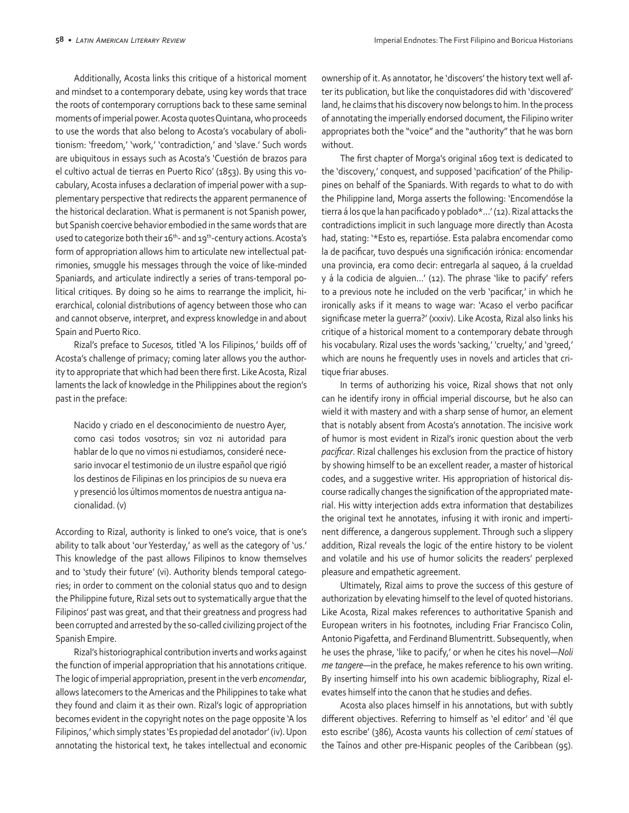Additionally, Acosta links this critique of a historical moment and mindset to a contemporary debate, using key words that trace the roots of contemporary corruptions back to these same seminal moments of imperial power. Acosta quotes Quintana, who proceeds to use the words that also belong to Acosta's vocabulary of abolitionism: 'freedom,' 'work,' 'contradiction,' and 'slave.' Such words are ubiquitous in essays such as Acosta's 'Cuestión de brazos para el cultivo actual de tierras en Puerto Rico' (1853). By using this vocabulary, Acosta infuses a declaration of imperial power with a supplementary perspective that redirects the apparent permanence of the historical declaration. What is permanent is not Spanish power, but Spanish coercive behavior embodied in the same words that are used to categorize both their 16<sup>th</sup>- and 19<sup>th</sup>-century actions. Acosta's form of appropriation allows him to articulate new intellectual patrimonies, smuggle his messages through the voice of like-minded Spaniards, and articulate indirectly a series of trans-temporal political critiques. By doing so he aims to rearrange the implicit, hierarchical, colonial distributions of agency between those who can and cannot observe, interpret, and express knowledge in and about Spain and Puerto Rico.

Rizal's preface to *Sucesos*, titled 'A los Filipinos,' builds off of Acosta's challenge of primacy; coming later allows you the authority to appropriate that which had been there first. Like Acosta, Rizal laments the lack of knowledge in the Philippines about the region's past in the preface:

Nacido y criado en el desconocimiento de nuestro Ayer, como casi todos vosotros; sin voz ni autoridad para hablar de lo que no vimos ni estudiamos, consideré necesario invocar el testimonio de un ilustre español que rigió los destinos de Filipinas en los principios de su nueva era y presenció los últimos momentos de nuestra antigua nacionalidad. (v)

According to Rizal, authority is linked to one's voice, that is one's ability to talk about 'our Yesterday,' as well as the category of 'us.' This knowledge of the past allows Filipinos to know themselves and to 'study their future' (vi). Authority blends temporal categories; in order to comment on the colonial status quo and to design the Philippine future, Rizal sets out to systematically argue that the Filipinos' past was great, and that their greatness and progress had been corrupted and arrested by the so-called civilizing project of the Spanish Empire.

Rizal's historiographical contribution inverts and works against the function of imperial appropriation that his annotations critique. The logic of imperial appropriation, present in the verb *encomendar*, allows latecomers to the Americas and the Philippines to take what they found and claim it as their own. Rizal's logic of appropriation becomes evident in the copyright notes on the page opposite 'A los Filipinos,' which simply states 'Es propiedad del anotador' (iv). Upon annotating the historical text, he takes intellectual and economic ownership of it. As annotator, he 'discovers' the history text well after its publication, but like the conquistadores did with 'discovered' land, he claims that his discovery now belongs to him. In the process of annotating the imperially endorsed document, the Filipino writer appropriates both the "voice" and the "authority" that he was born without.

The first chapter of Morga's original 1609 text is dedicated to the 'discovery,' conquest, and supposed 'pacification' of the Philippines on behalf of the Spaniards. With regards to what to do with the Philippine land, Morga asserts the following: 'Encomendóse la tierra á los que la han pacificado y poblado\*…' (12). Rizal attacks the contradictions implicit in such language more directly than Acosta had, stating: '\*Esto es, repartióse. Esta palabra encomendar como la de pacificar, tuvo después una significación irónica: encomendar una provincia, era como decir: entregarla al saqueo, á la crueldad y á la codicia de alguien…' (12). The phrase 'like to pacify' refers to a previous note he included on the verb 'pacificar,' in which he ironically asks if it means to wage war: 'Acaso el verbo pacificar significase meter la guerra?' (xxxiv). Like Acosta, Rizal also links his critique of a historical moment to a contemporary debate through his vocabulary. Rizal uses the words 'sacking,' 'cruelty,' and 'greed,' which are nouns he frequently uses in novels and articles that critique friar abuses.

In terms of authorizing his voice, Rizal shows that not only can he identify irony in official imperial discourse, but he also can wield it with mastery and with a sharp sense of humor, an element that is notably absent from Acosta's annotation. The incisive work of humor is most evident in Rizal's ironic question about the verb *pacificar*. Rizal challenges his exclusion from the practice of history by showing himself to be an excellent reader, a master of historical codes, and a suggestive writer. His appropriation of historical discourse radically changes the signification of the appropriated material. His witty interjection adds extra information that destabilizes the original text he annotates, infusing it with ironic and impertinent difference, a dangerous supplement. Through such a slippery addition, Rizal reveals the logic of the entire history to be violent and volatile and his use of humor solicits the readers' perplexed pleasure and empathetic agreement.

Ultimately, Rizal aims to prove the success of this gesture of authorization by elevating himself to the level of quoted historians. Like Acosta, Rizal makes references to authoritative Spanish and European writers in his footnotes, including Friar Francisco Colin, Antonio Pigafetta, and Ferdinand Blumentritt. Subsequently, when he uses the phrase, 'like to pacify,' or when he cites his novel—*Noli me tangere*—in the preface, he makes reference to his own writing. By inserting himself into his own academic bibliography, Rizal elevates himself into the canon that he studies and defies.

Acosta also places himself in his annotations, but with subtly different objectives. Referring to himself as 'el editor' and 'él que esto escribe' (386), Acosta vaunts his collection of *cemí* statues of the Taínos and other pre-Hispanic peoples of the Caribbean (95).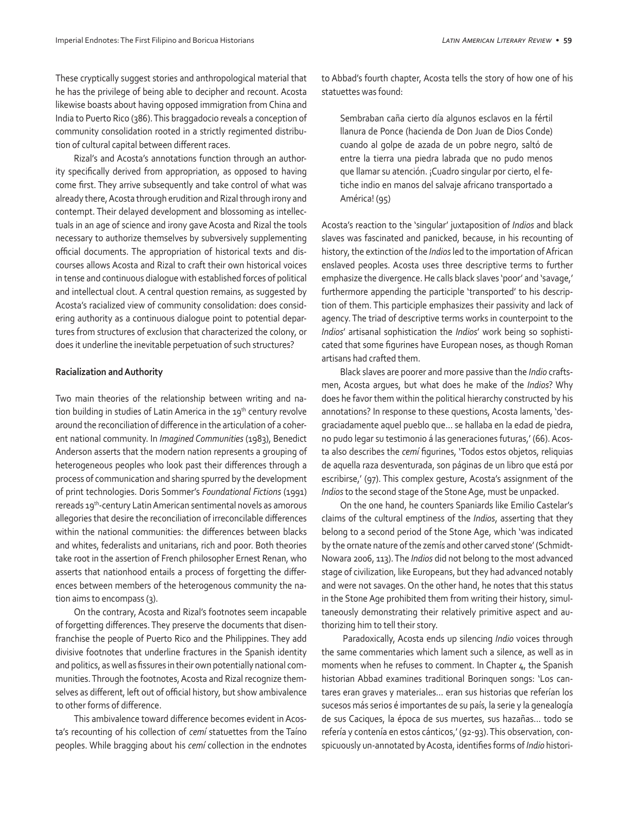These cryptically suggest stories and anthropological material that he has the privilege of being able to decipher and recount. Acosta likewise boasts about having opposed immigration from China and India to Puerto Rico (386). This braggadocio reveals a conception of community consolidation rooted in a strictly regimented distribution of cultural capital between different races.

Rizal's and Acosta's annotations function through an authority specifically derived from appropriation, as opposed to having come first. They arrive subsequently and take control of what was already there, Acosta through erudition and Rizal through irony and contempt. Their delayed development and blossoming as intellectuals in an age of science and irony gave Acosta and Rizal the tools necessary to authorize themselves by subversively supplementing official documents. The appropriation of historical texts and discourses allows Acosta and Rizal to craft their own historical voices in tense and continuous dialogue with established forces of political and intellectual clout. A central question remains, as suggested by Acosta's racialized view of community consolidation: does considering authority as a continuous dialogue point to potential departures from structures of exclusion that characterized the colony, or does it underline the inevitable perpetuation of such structures?

#### **Racialization and Authority**

Two main theories of the relationship between writing and nation building in studies of Latin America in the 19<sup>th</sup> century revolve around the reconciliation of difference in the articulation of a coherent national community. In *Imagined Communities* (1983), Benedict Anderson asserts that the modern nation represents a grouping of heterogeneous peoples who look past their differences through a process of communication and sharing spurred by the development of print technologies. Doris Sommer's *Foundational Fictions* (1991) rereads 19<sup>th</sup>-century Latin American sentimental novels as amorous allegories that desire the reconciliation of irreconcilable differences within the national communities: the differences between blacks and whites, federalists and unitarians, rich and poor. Both theories take root in the assertion of French philosopher Ernest Renan, who asserts that nationhood entails a process of forgetting the differences between members of the heterogenous community the nation aims to encompass (3).

On the contrary, Acosta and Rizal's footnotes seem incapable of forgetting differences. They preserve the documents that disenfranchise the people of Puerto Rico and the Philippines. They add divisive footnotes that underline fractures in the Spanish identity and politics, as well as fissures in their own potentially national communities. Through the footnotes, Acosta and Rizal recognize themselves as different, left out of official history, but show ambivalence to other forms of difference.

This ambivalence toward difference becomes evident in Acosta's recounting of his collection of *cemí* statuettes from the Taíno peoples. While bragging about his *cemí* collection in the endnotes to Abbad's fourth chapter, Acosta tells the story of how one of his statuettes was found:

Sembraban caña cierto día algunos esclavos en la fértil llanura de Ponce (hacienda de Don Juan de Dios Conde) cuando al golpe de azada de un pobre negro, saltó de entre la tierra una piedra labrada que no pudo menos que llamar su atención. ¡Cuadro singular por cierto, el fetiche indio en manos del salvaje africano transportado a América! (95)

Acosta's reaction to the 'singular' juxtaposition of *Indios* and black slaves was fascinated and panicked, because, in his recounting of history, the extinction of the *Indios* led to the importation of African enslaved peoples. Acosta uses three descriptive terms to further emphasize the divergence. He calls black slaves 'poor' and 'savage,' furthermore appending the participle 'transported' to his description of them. This participle emphasizes their passivity and lack of agency. The triad of descriptive terms works in counterpoint to the *Indios*' artisanal sophistication the *Indios*' work being so sophisticated that some figurines have European noses, as though Roman artisans had crafted them.

Black slaves are poorer and more passive than the *Indio* craftsmen, Acosta argues, but what does he make of the *Indios*? Why does he favor them within the political hierarchy constructed by his annotations? In response to these questions, Acosta laments, 'desgraciadamente aquel pueblo que… se hallaba en la edad de piedra, no pudo legar su testimonio á las generaciones futuras,' (66). Acosta also describes the *cemí* figurines, 'Todos estos objetos, reliquias de aquella raza desventurada, son páginas de un libro que está por escribirse,' (97). This complex gesture, Acosta's assignment of the *Indios* to the second stage of the Stone Age, must be unpacked.

On the one hand, he counters Spaniards like Emilio Castelar's claims of the cultural emptiness of the *Indios*, asserting that they belong to a second period of the Stone Age, which 'was indicated by the ornate nature of the zemís and other carved stone' (Schmidt-Nowara 2006, 113). The *Indios* did not belong to the most advanced stage of civilization, like Europeans, but they had advanced notably and were not savages. On the other hand, he notes that this status in the Stone Age prohibited them from writing their history, simultaneously demonstrating their relatively primitive aspect and authorizing him to tell their story.

 Paradoxically, Acosta ends up silencing *Indio* voices through the same commentaries which lament such a silence, as well as in moments when he refuses to comment. In Chapter 4, the Spanish historian Abbad examines traditional Borinquen songs: 'Los cantares eran graves y materiales… eran sus historias que referían los sucesos más serios é importantes de su país, la serie y la genealogía de sus Caciques, la época de sus muertes, sus hazañas… todo se refería y contenía en estos cánticos,' (92-93). This observation, conspicuously un-annotated by Acosta, identifies forms of *Indio* histori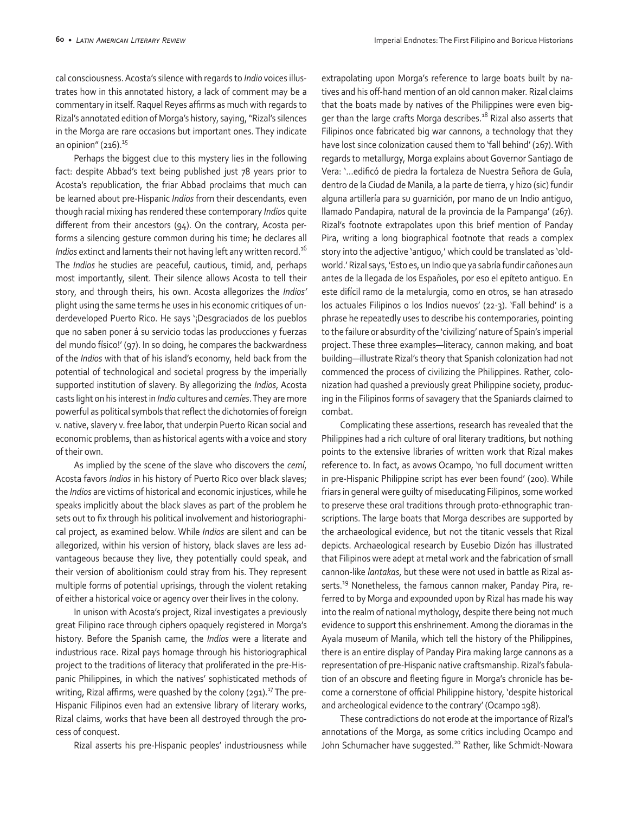cal consciousness. Acosta's silence with regards to *Indio* voices illustrates how in this annotated history, a lack of comment may be a commentary in itself. Raquel Reyes affirms as much with regards to Rizal's annotated edition of Morga's history, saying, "Rizal's silences in the Morga are rare occasions but important ones. They indicate an opinion"  $(216).$ <sup>15</sup>

Perhaps the biggest clue to this mystery lies in the following fact: despite Abbad's text being published just 78 years prior to Acosta's republication, the friar Abbad proclaims that much can be learned about pre-Hispanic *Indios* from their descendants, even though racial mixing has rendered these contemporary *Indios* quite different from their ancestors (94). On the contrary, Acosta performs a silencing gesture common during his time; he declares all *Indios* extinct and laments their not having left any written record.<sup>16</sup> The *Indios* he studies are peaceful, cautious, timid, and, perhaps most importantly, silent. Their silence allows Acosta to tell their story, and through theirs, his own. Acosta allegorizes the *Indios'* plight using the same terms he uses in his economic critiques of underdeveloped Puerto Rico. He says '¡Desgraciados de los pueblos que no saben poner á su servicio todas las producciones y fuerzas del mundo físico!' (97). In so doing, he compares the backwardness of the *Indios* with that of his island's economy, held back from the potential of technological and societal progress by the imperially supported institution of slavery. By allegorizing the *Indios*, Acosta casts light on his interest in *Indio* cultures and *cemíes*. They are more powerful as political symbols that reflect the dichotomies of foreign v. native, slavery v. free labor, that underpin Puerto Rican social and economic problems, than as historical agents with a voice and story of their own.

As implied by the scene of the slave who discovers the *cemí*, Acosta favors *Indios* in his history of Puerto Rico over black slaves; the *Indios* are victims of historical and economic injustices, while he speaks implicitly about the black slaves as part of the problem he sets out to fix through his political involvement and historiographical project, as examined below. While *Indios* are silent and can be allegorized, within his version of history, black slaves are less advantageous because they live, they potentially could speak, and their version of abolitionism could stray from his. They represent multiple forms of potential uprisings, through the violent retaking of either a historical voice or agency over their lives in the colony.

In unison with Acosta's project, Rizal investigates a previously great Filipino race through ciphers opaquely registered in Morga's history. Before the Spanish came, the *Indios* were a literate and industrious race. Rizal pays homage through his historiographical project to the traditions of literacy that proliferated in the pre-Hispanic Philippines, in which the natives' sophisticated methods of writing, Rizal affirms, were quashed by the colony (291).<sup>17</sup> The pre-Hispanic Filipinos even had an extensive library of literary works, Rizal claims, works that have been all destroyed through the process of conquest.

Rizal asserts his pre-Hispanic peoples' industriousness while

extrapolating upon Morga's reference to large boats built by natives and his off-hand mention of an old cannon maker. Rizal claims that the boats made by natives of the Philippines were even bigger than the large crafts Morga describes.<sup>18</sup> Rizal also asserts that Filipinos once fabricated big war cannons, a technology that they have lost since colonization caused them to 'fall behind' (267). With regards to metallurgy, Morga explains about Governor Santiago de Vera: '…edificó de piedra la fortaleza de Nuestra Señora de Guîa, dentro de la Ciudad de Manila, a la parte de tierra, y hizo (sic) fundir alguna artillería para su guarnición, por mano de un Indio antiguo, llamado Pandapira, natural de la provincia de la Pampanga' (267). Rizal's footnote extrapolates upon this brief mention of Panday Pira, writing a long biographical footnote that reads a complex story into the adjective 'antiguo,' which could be translated as 'oldworld.' Rizal says, 'Esto es, un Indio que ya sabría fundir cañones aun antes de la llegada de los Españoles, por eso el epíteto antiguo. En este difícil ramo de la metalurgia, como en otros, se han atrasado los actuales Filipinos o los Indios nuevos' (22-3). 'Fall behind' is a phrase he repeatedly uses to describe his contemporaries, pointing to the failure or absurdity of the 'civilizing' nature of Spain's imperial project. These three examples—literacy, cannon making, and boat building—illustrate Rizal's theory that Spanish colonization had not commenced the process of civilizing the Philippines. Rather, colonization had quashed a previously great Philippine society, producing in the Filipinos forms of savagery that the Spaniards claimed to combat.

Complicating these assertions, research has revealed that the Philippines had a rich culture of oral literary traditions, but nothing points to the extensive libraries of written work that Rizal makes reference to. In fact, as avows Ocampo, 'no full document written in pre-Hispanic Philippine script has ever been found' (200). While friars in general were guilty of miseducating Filipinos, some worked to preserve these oral traditions through proto-ethnographic transcriptions. The large boats that Morga describes are supported by the archaeological evidence, but not the titanic vessels that Rizal depicts. Archaeological research by Eusebio Dizón has illustrated that Filipinos were adept at metal work and the fabrication of small cannon-like *lantakas*, but these were not used in battle as Rizal asserts.<sup>19</sup> Nonetheless, the famous cannon maker, Panday Pira, referred to by Morga and expounded upon by Rizal has made his way into the realm of national mythology, despite there being not much evidence to support this enshrinement. Among the dioramas in the Ayala museum of Manila, which tell the history of the Philippines, there is an entire display of Panday Pira making large cannons as a representation of pre-Hispanic native craftsmanship. Rizal's fabulation of an obscure and fleeting figure in Morga's chronicle has become a cornerstone of official Philippine history, 'despite historical and archeological evidence to the contrary' (Ocampo 198).

These contradictions do not erode at the importance of Rizal's annotations of the Morga, as some critics including Ocampo and John Schumacher have suggested.<sup>20</sup> Rather, like Schmidt-Nowara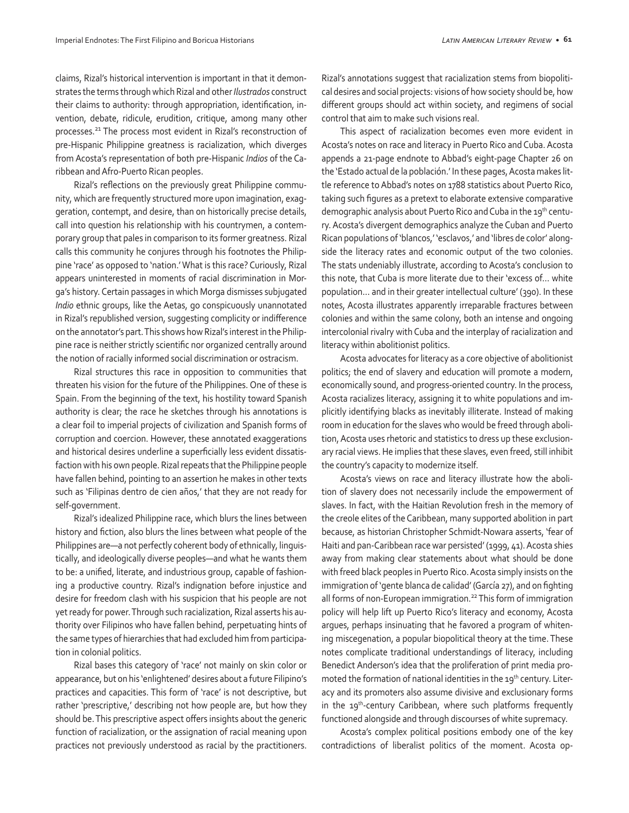claims, Rizal's historical intervention is important in that it demonstrates the terms through which Rizal and other *Ilustrados* construct their claims to authority: through appropriation, identification, invention, debate, ridicule, erudition, critique, among many other processes.21 The process most evident in Rizal's reconstruction of pre-Hispanic Philippine greatness is racialization, which diverges from Acosta's representation of both pre-Hispanic *Indios* of the Caribbean and Afro-Puerto Rican peoples.

Rizal's reflections on the previously great Philippine community, which are frequently structured more upon imagination, exaggeration, contempt, and desire, than on historically precise details, call into question his relationship with his countrymen, a contemporary group that pales in comparison to its former greatness. Rizal calls this community he conjures through his footnotes the Philippine 'race' as opposed to 'nation.' What is this race? Curiously, Rizal appears uninterested in moments of racial discrimination in Morga's history. Certain passages in which Morga dismisses subjugated *Indio* ethnic groups, like the Aetas, go conspicuously unannotated in Rizal's republished version, suggesting complicity or indifference on the annotator's part. This shows how Rizal's interest in the Philippine race is neither strictly scientific nor organized centrally around the notion of racially informed social discrimination or ostracism.

Rizal structures this race in opposition to communities that threaten his vision for the future of the Philippines. One of these is Spain. From the beginning of the text, his hostility toward Spanish authority is clear; the race he sketches through his annotations is a clear foil to imperial projects of civilization and Spanish forms of corruption and coercion. However, these annotated exaggerations and historical desires underline a superficially less evident dissatisfaction with his own people. Rizal repeats that the Philippine people have fallen behind, pointing to an assertion he makes in other texts such as 'Filipinas dentro de cien años,' that they are not ready for self-government.

Rizal's idealized Philippine race, which blurs the lines between history and fiction, also blurs the lines between what people of the Philippines are—a not perfectly coherent body of ethnically, linguistically, and ideologically diverse peoples—and what he wants them to be: a unified, literate, and industrious group, capable of fashioning a productive country. Rizal's indignation before injustice and desire for freedom clash with his suspicion that his people are not yet ready for power. Through such racialization, Rizal asserts his authority over Filipinos who have fallen behind, perpetuating hints of the same types of hierarchies that had excluded him from participation in colonial politics.

Rizal bases this category of 'race' not mainly on skin color or appearance, but on his 'enlightened' desires about a future Filipino's practices and capacities. This form of 'race' is not descriptive, but rather 'prescriptive,' describing not how people are, but how they should be. This prescriptive aspect offers insights about the generic function of racialization, or the assignation of racial meaning upon practices not previously understood as racial by the practitioners.

Rizal's annotations suggest that racialization stems from biopolitical desires and social projects: visions of how society should be, how different groups should act within society, and regimens of social control that aim to make such visions real.

This aspect of racialization becomes even more evident in Acosta's notes on race and literacy in Puerto Rico and Cuba. Acosta appends a 21-page endnote to Abbad's eight-page Chapter 26 on the 'Estado actual de la población.' In these pages, Acosta makes little reference to Abbad's notes on 1788 statistics about Puerto Rico, taking such figures as a pretext to elaborate extensive comparative demographic analysis about Puerto Rico and Cuba in the 19<sup>th</sup> century. Acosta's divergent demographics analyze the Cuban and Puerto Rican populations of 'blancos,' 'esclavos,' and 'libres de color' alongside the literacy rates and economic output of the two colonies. The stats undeniably illustrate, according to Acosta's conclusion to this note, that Cuba is more literate due to their 'excess of… white population… and in their greater intellectual culture' (390). In these notes, Acosta illustrates apparently irreparable fractures between colonies and within the same colony, both an intense and ongoing intercolonial rivalry with Cuba and the interplay of racialization and literacy within abolitionist politics.

Acosta advocates for literacy as a core objective of abolitionist politics; the end of slavery and education will promote a modern, economically sound, and progress-oriented country. In the process, Acosta racializes literacy, assigning it to white populations and implicitly identifying blacks as inevitably illiterate. Instead of making room in education for the slaves who would be freed through abolition, Acosta uses rhetoric and statistics to dress up these exclusionary racial views. He implies that these slaves, even freed, still inhibit the country's capacity to modernize itself.

Acosta's views on race and literacy illustrate how the abolition of slavery does not necessarily include the empowerment of slaves. In fact, with the Haitian Revolution fresh in the memory of the creole elites of the Caribbean, many supported abolition in part because, as historian Christopher Schmidt-Nowara asserts, 'fear of Haiti and pan-Caribbean race war persisted' (1999, 41). Acosta shies away from making clear statements about what should be done with freed black peoples in Puerto Rico. Acosta simply insists on the immigration of 'gente blanca de calidad' (García 27), and on fighting all forms of non-European immigration.<sup>22</sup> This form of immigration policy will help lift up Puerto Rico's literacy and economy, Acosta argues, perhaps insinuating that he favored a program of whitening miscegenation, a popular biopolitical theory at the time. These notes complicate traditional understandings of literacy, including Benedict Anderson's idea that the proliferation of print media promoted the formation of national identities in the 19<sup>th</sup> century. Literacy and its promoters also assume divisive and exclusionary forms in the 19<sup>th</sup>-century Caribbean, where such platforms frequently functioned alongside and through discourses of white supremacy.

Acosta's complex political positions embody one of the key contradictions of liberalist politics of the moment. Acosta op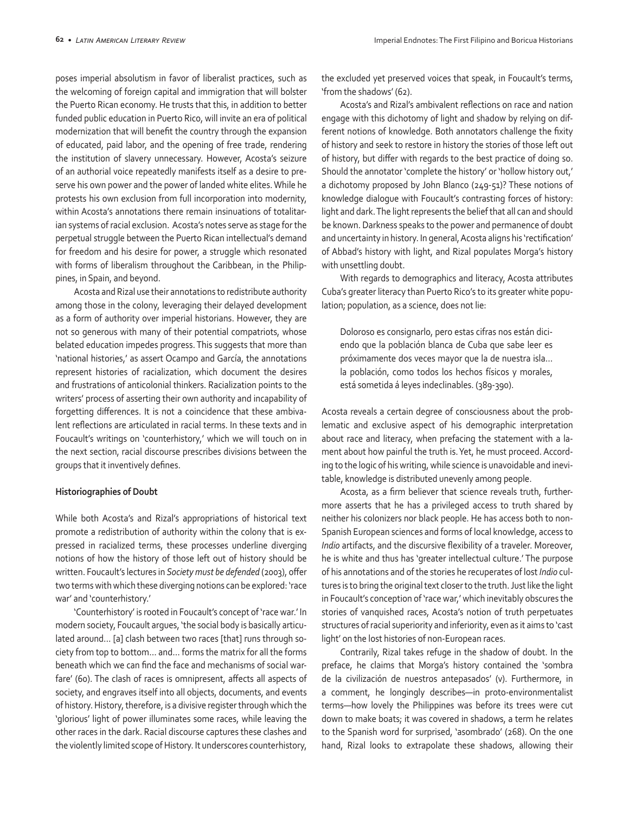poses imperial absolutism in favor of liberalist practices, such as the welcoming of foreign capital and immigration that will bolster the Puerto Rican economy. He trusts that this, in addition to better funded public education in Puerto Rico, will invite an era of political modernization that will benefit the country through the expansion of educated, paid labor, and the opening of free trade, rendering the institution of slavery unnecessary. However, Acosta's seizure of an authorial voice repeatedly manifests itself as a desire to preserve his own power and the power of landed white elites. While he protests his own exclusion from full incorporation into modernity, within Acosta's annotations there remain insinuations of totalitarian systems of racial exclusion. Acosta's notes serve as stage for the perpetual struggle between the Puerto Rican intellectual's demand for freedom and his desire for power, a struggle which resonated with forms of liberalism throughout the Caribbean, in the Philippines, in Spain, and beyond.

Acosta and Rizal use their annotations to redistribute authority among those in the colony, leveraging their delayed development as a form of authority over imperial historians. However, they are not so generous with many of their potential compatriots, whose belated education impedes progress. This suggests that more than 'national histories,' as assert Ocampo and García, the annotations represent histories of racialization, which document the desires and frustrations of anticolonial thinkers. Racialization points to the writers' process of asserting their own authority and incapability of forgetting differences. It is not a coincidence that these ambivalent reflections are articulated in racial terms. In these texts and in Foucault's writings on 'counterhistory,' which we will touch on in the next section, racial discourse prescribes divisions between the groups that it inventively defines.

#### **Historiographies of Doubt**

While both Acosta's and Rizal's appropriations of historical text promote a redistribution of authority within the colony that is expressed in racialized terms, these processes underline diverging notions of how the history of those left out of history should be written. Foucault's lectures in *Society must be defended* (2003), offer two terms with which these diverging notions can be explored: 'race war' and 'counterhistory.'

'Counterhistory' is rooted in Foucault's concept of 'race war.' In modern society, Foucault argues, 'the social body is basically articulated around… [a] clash between two races [that] runs through society from top to bottom… and… forms the matrix for all the forms beneath which we can find the face and mechanisms of social warfare' (60). The clash of races is omnipresent, affects all aspects of society, and engraves itself into all objects, documents, and events of history. History, therefore, is a divisive register through which the 'glorious' light of power illuminates some races, while leaving the other races in the dark. Racial discourse captures these clashes and the violently limited scope of History. It underscores counterhistory,

the excluded yet preserved voices that speak, in Foucault's terms, 'from the shadows' (62).

Acosta's and Rizal's ambivalent reflections on race and nation engage with this dichotomy of light and shadow by relying on different notions of knowledge. Both annotators challenge the fixity of history and seek to restore in history the stories of those left out of history, but differ with regards to the best practice of doing so. Should the annotator 'complete the history' or 'hollow history out,' a dichotomy proposed by John Blanco (249-51)? These notions of knowledge dialogue with Foucault's contrasting forces of history: light and dark. The light represents the belief that all can and should be known. Darkness speaks to the power and permanence of doubt and uncertainty in history. In general, Acosta aligns his 'rectification' of Abbad's history with light, and Rizal populates Morga's history with unsettling doubt.

With regards to demographics and literacy, Acosta attributes Cuba's greater literacy than Puerto Rico's to its greater white population; population, as a science, does not lie:

Doloroso es consignarlo, pero estas cifras nos están diciendo que la población blanca de Cuba que sabe leer es próximamente dos veces mayor que la de nuestra isla… la población, como todos los hechos físicos y morales, está sometida á leyes indeclinables. (389-390).

Acosta reveals a certain degree of consciousness about the problematic and exclusive aspect of his demographic interpretation about race and literacy, when prefacing the statement with a lament about how painful the truth is. Yet, he must proceed. According to the logic of his writing, while science is unavoidable and inevitable, knowledge is distributed unevenly among people.

Acosta, as a firm believer that science reveals truth, furthermore asserts that he has a privileged access to truth shared by neither his colonizers nor black people. He has access both to non-Spanish European sciences and forms of local knowledge, access to *Indio* artifacts, and the discursive flexibility of a traveler. Moreover, he is white and thus has 'greater intellectual culture.' The purpose of his annotations and of the stories he recuperates of lost *Indio* cultures is to bring the original text closer to the truth. Just like the light in Foucault's conception of 'race war,' which inevitably obscures the stories of vanquished races, Acosta's notion of truth perpetuates structures of racial superiority and inferiority, even as it aims to 'cast light' on the lost histories of non-European races.

Contrarily, Rizal takes refuge in the shadow of doubt. In the preface, he claims that Morga's history contained the 'sombra de la civilización de nuestros antepasados' (v). Furthermore, in a comment, he longingly describes—in proto-environmentalist terms—how lovely the Philippines was before its trees were cut down to make boats; it was covered in shadows, a term he relates to the Spanish word for surprised, 'asombrado' (268). On the one hand, Rizal looks to extrapolate these shadows, allowing their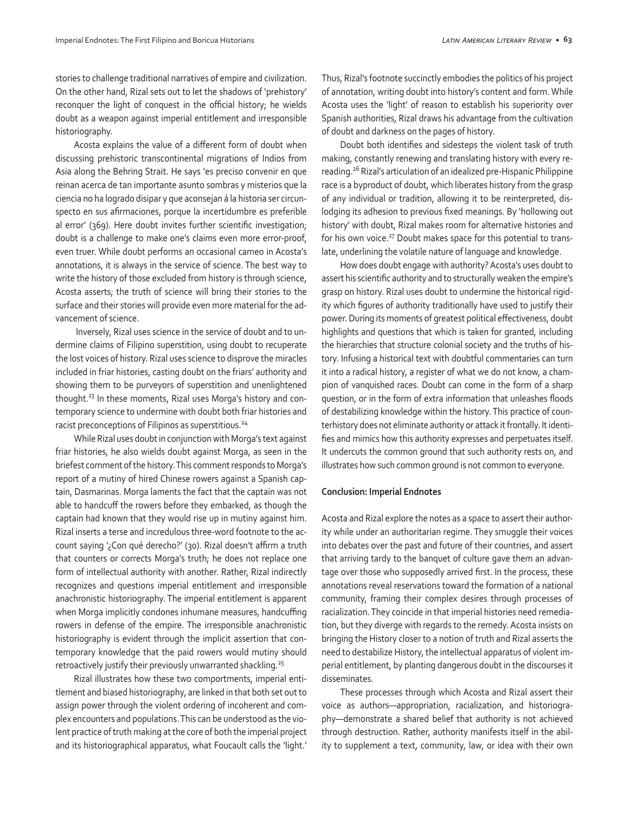stories to challenge traditional narratives of empire and civilization. On the other hand, Rizal sets out to let the shadows of 'prehistory' reconquer the light of conquest in the official history; he wields doubt as a weapon against imperial entitlement and irresponsible historiography.

Acosta explains the value of a different form of doubt when discussing prehistoric transcontinental migrations of Indios from Asia along the Behring Strait. He says 'es preciso convenir en que reinan acerca de tan importante asunto sombras y misterios que la ciencia no ha logrado disipar y que aconsejan á la historia ser circunspecto en sus afirmaciones, porque la incertidumbre es preferible al error' (369). Here doubt invites further scientific investigation; doubt is a challenge to make one's claims even more error-proof, even truer. While doubt performs an occasional cameo in Acosta's annotations, it is always in the service of science. The best way to write the history of those excluded from history is through science, Acosta asserts; the truth of science will bring their stories to the surface and their stories will provide even more material for the advancement of science.

 Inversely, Rizal uses science in the service of doubt and to undermine claims of Filipino superstition, using doubt to recuperate the lost voices of history. Rizal uses science to disprove the miracles included in friar histories, casting doubt on the friars' authority and showing them to be purveyors of superstition and unenlightened thought.<sup>23</sup> In these moments, Rizal uses Morga's history and contemporary science to undermine with doubt both friar histories and racist preconceptions of Filipinos as superstitious.<sup>24</sup>

While Rizal uses doubt in conjunction with Morga's text against friar histories, he also wields doubt against Morga, as seen in the briefest comment of the history. This comment responds to Morga's report of a mutiny of hired Chinese rowers against a Spanish captain, Dasmarinas. Morga laments the fact that the captain was not able to handcuff the rowers before they embarked, as though the captain had known that they would rise up in mutiny against him. Rizal inserts a terse and incredulous three-word footnote to the account saying '¿Con qué derecho?' (30). Rizal doesn't affirm a truth that counters or corrects Morga's truth; he does not replace one form of intellectual authority with another. Rather, Rizal indirectly recognizes and questions imperial entitlement and irresponsible anachronistic historiography. The imperial entitlement is apparent when Morga implicitly condones inhumane measures, handcuffing rowers in defense of the empire. The irresponsible anachronistic historiography is evident through the implicit assertion that contemporary knowledge that the paid rowers would mutiny should retroactively justify their previously unwarranted shackling.<sup>25</sup>

Rizal illustrates how these two comportments, imperial entitlement and biased historiography, are linked in that both set out to assign power through the violent ordering of incoherent and complex encounters and populations. This can be understood as the violent practice of truth making at the core of both the imperial project and its historiographical apparatus, what Foucault calls the 'light.'

Thus, Rizal's footnote succinctly embodies the politics of his project of annotation, writing doubt into history's content and form. While Acosta uses the 'light' of reason to establish his superiority over Spanish authorities, Rizal draws his advantage from the cultivation of doubt and darkness on the pages of history.

Doubt both identifies and sidesteps the violent task of truth making, constantly renewing and translating history with every rereading.26 Rizal's articulation of an idealized pre-Hispanic Philippine race is a byproduct of doubt, which liberates history from the grasp of any individual or tradition, allowing it to be reinterpreted, dislodging its adhesion to previous fixed meanings. By 'hollowing out history' with doubt, Rizal makes room for alternative histories and for his own voice. $^{27}$  Doubt makes space for this potential to translate, underlining the volatile nature of language and knowledge.

How does doubt engage with authority? Acosta's uses doubt to assert his scientific authority and to structurally weaken the empire's grasp on history. Rizal uses doubt to undermine the historical rigidity which figures of authority traditionally have used to justify their power. During its moments of greatest political effectiveness, doubt highlights and questions that which is taken for granted, including the hierarchies that structure colonial society and the truths of history. Infusing a historical text with doubtful commentaries can turn it into a radical history, a register of what we do not know, a champion of vanquished races. Doubt can come in the form of a sharp question, or in the form of extra information that unleashes floods of destabilizing knowledge within the history. This practice of counterhistory does not eliminate authority or attack it frontally. It identifies and mimics how this authority expresses and perpetuates itself. It undercuts the common ground that such authority rests on, and illustrates how such common ground is not common to everyone.

#### **Conclusion: Imperial Endnotes**

Acosta and Rizal explore the notes as a space to assert their authority while under an authoritarian regime. They smuggle their voices into debates over the past and future of their countries, and assert that arriving tardy to the banquet of culture gave them an advantage over those who supposedly arrived first. In the process, these annotations reveal reservations toward the formation of a national community, framing their complex desires through processes of racialization. They coincide in that imperial histories need remediation, but they diverge with regards to the remedy. Acosta insists on bringing the History closer to a notion of truth and Rizal asserts the need to destabilize History, the intellectual apparatus of violent imperial entitlement, by planting dangerous doubt in the discourses it disseminates.

These processes through which Acosta and Rizal assert their voice as authors—appropriation, racialization, and historiography—demonstrate a shared belief that authority is not achieved through destruction. Rather, authority manifests itself in the ability to supplement a text, community, law, or idea with their own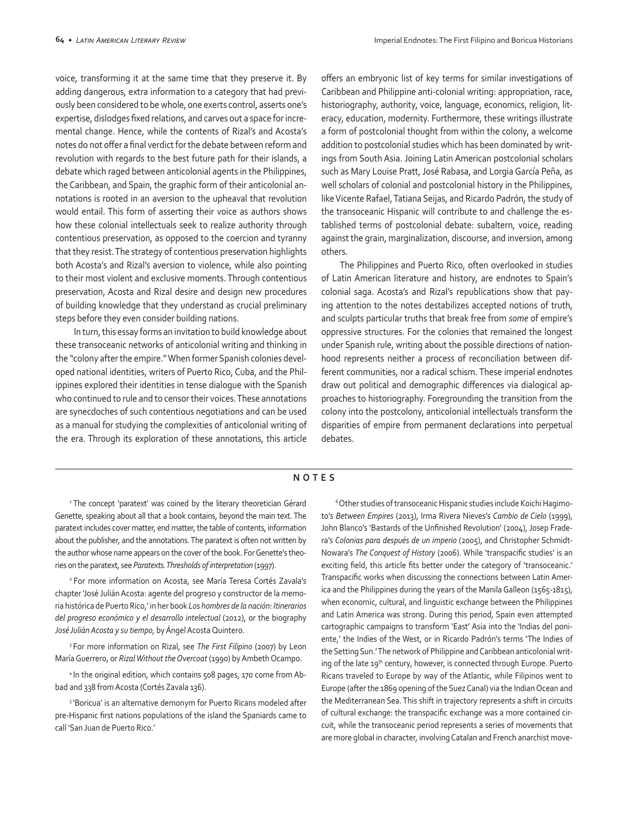voice, transforming it at the same time that they preserve it. By adding dangerous, extra information to a category that had previously been considered to be whole, one exerts control, asserts one's expertise, dislodges fixed relations, and carves out a space for incremental change. Hence, while the contents of Rizal's and Acosta's notes do not offer a final verdict for the debate between reform and revolution with regards to the best future path for their islands, a debate which raged between anticolonial agents in the Philippines, the Caribbean, and Spain, the graphic form of their anticolonial annotations is rooted in an aversion to the upheaval that revolution would entail. This form of asserting their voice as authors shows how these colonial intellectuals seek to realize authority through contentious preservation, as opposed to the coercion and tyranny that they resist. The strategy of contentious preservation highlights both Acosta's and Rizal's aversion to violence, while also pointing to their most violent and exclusive moments. Through contentious preservation, Acosta and Rizal desire and design new procedures of building knowledge that they understand as crucial preliminary steps before they even consider building nations.

In turn, this essay forms an invitation to build knowledge about these transoceanic networks of anticolonial writing and thinking in the "colony after the empire." When former Spanish colonies developed national identities, writers of Puerto Rico, Cuba, and the Philippines explored their identities in tense dialogue with the Spanish who continued to rule and to censor their voices. These annotations are synecdoches of such contentious negotiations and can be used as a manual for studying the complexities of anticolonial writing of the era. Through its exploration of these annotations, this article

offers an embryonic list of key terms for similar investigations of Caribbean and Philippine anti-colonial writing: appropriation, race, historiography, authority, voice, language, economics, religion, literacy, education, modernity. Furthermore, these writings illustrate a form of postcolonial thought from within the colony, a welcome addition to postcolonial studies which has been dominated by writings from South Asia. Joining Latin American postcolonial scholars such as Mary Louise Pratt, José Rabasa, and Lorgia García Peña, as well scholars of colonial and postcolonial history in the Philippines, like Vicente Rafael, Tatiana Seijas, and Ricardo Padrón, the study of the transoceanic Hispanic will contribute to and challenge the established terms of postcolonial debate: subaltern, voice, reading against the grain, marginalization, discourse, and inversion, among others.

The Philippines and Puerto Rico, often overlooked in studies of Latin American literature and history, are endnotes to Spain's colonial saga. Acosta's and Rizal's republications show that paying attention to the notes destabilizes accepted notions of truth, and sculpts particular truths that break free from *some* of empire's oppressive structures. For the colonies that remained the longest under Spanish rule, writing about the possible directions of nationhood represents neither a process of reconciliation between different communities, nor a radical schism. These imperial endnotes draw out political and demographic differences via dialogical approaches to historiography. Foregrounding the transition from the colony into the postcolony, anticolonial intellectuals transform the disparities of empire from permanent declarations into perpetual debates.

#### **NOTES**

<sup>1</sup> The concept 'paratext' was coined by the literary theoretician Gérard Genette, speaking about all that a book contains, beyond the main text. The paratext includes cover matter, end matter, the table of contents, information about the publisher, and the annotations. The paratext is often not written by the author whose name appears on the cover of the book. For Genette's theories on the paratext, see *Paratexts. Thresholds of interpretation* (1997).

2 For more information on Acosta, see María Teresa Cortés Zavala's chapter 'José Julián Acosta: agente del progreso y constructor de la memoria histórica de Puerto Rico,' in her book *Los hombres de la nación: Itinerarios del progreso económico y el desarrollo intelectual* (2012), or the biography *José Julián Acosta y su tiempo,* by Ángel Acosta Quintero.

3 For more information on Rizal, see *The First Filipino* (2007) by Leon María Guerrero, or *Rizal Without the Overcoat* (1990) by Ambeth Ocampo.

4 In the original edition, which contains 508 pages, 170 come from Abbad and 338 from Acosta (Cortés Zavala 136).

5 'Boricua' is an alternative demonym for Puerto Ricans modeled after pre-Hispanic first nations populations of the island the Spaniards came to call 'San Juan de Puerto Rico.'

<sup>6</sup> Other studies of transoceanic Hispanic studies include Koichi Hagimoto's *Between Empires* (2013), Irma Rivera Nieves's *Cambio de Cielo* (1999), John Blanco's 'Bastards of the Unfinished Revolution' (2004), Josep Fradera's *Colonias para después de un imperio* (2005), and Christopher Schmidt-Nowara's *The Conquest of History* (2006). While 'transpacific studies' is an exciting field, this article fits better under the category of 'transoceanic.' Transpacific works when discussing the connections between Latin America and the Philippines during the years of the Manila Galleon (1565-1815), when economic, cultural, and linguistic exchange between the Philippines and Latin America was strong. During this period, Spain even attempted cartographic campaigns to transform 'East' Asia into the 'Indias del poniente,' the Indies of the West, or in Ricardo Padrón's terms 'The Indies of the Setting Sun.' The network of Philippine and Caribbean anticolonial writing of the late 19th century, however, is connected through Europe. Puerto Ricans traveled to Europe by way of the Atlantic, while Filipinos went to Europe (after the 1869 opening of the Suez Canal) via the Indian Ocean and the Mediterranean Sea. This shift in trajectory represents a shift in circuits of cultural exchange: the transpacific exchange was a more contained circuit, while the transoceanic period represents a series of movements that are more global in character, involving Catalan and French anarchist move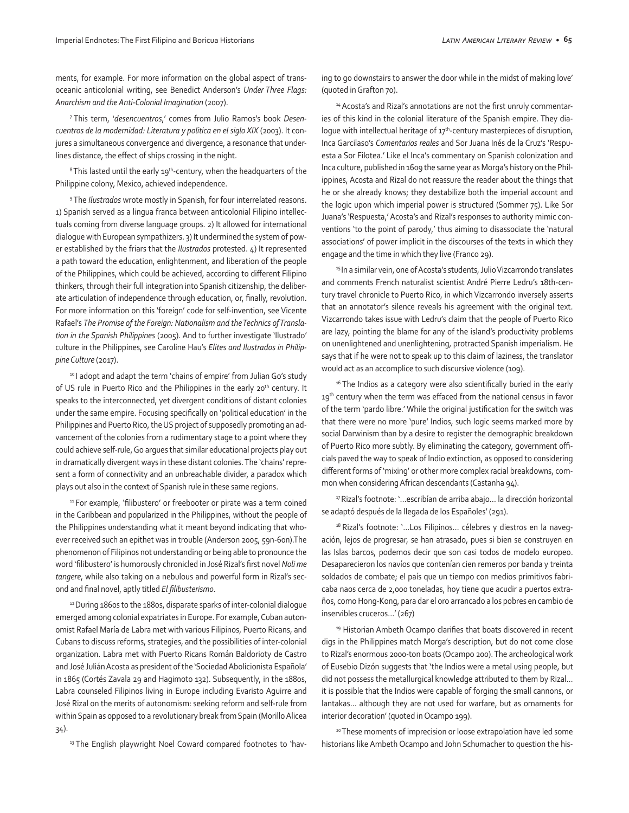ments, for example. For more information on the global aspect of transoceanic anticolonial writing, see Benedict Anderson's *Under Three Flags: Anarchism and the Anti-Colonial Imagination* (2007).

7 This term, '*desencuentros*,' comes from Julio Ramos's book *Desencuentros de la modernidad: Literatura y politica en el siglo XIX* (2003). It conjures a simultaneous convergence and divergence, a resonance that underlines distance, the effect of ships crossing in the night.

<sup>8</sup> This lasted until the early 19<sup>th</sup>-century, when the headquarters of the Philippine colony, Mexico, achieved independence.

9 The *Ilustrados* wrote mostly in Spanish, for four interrelated reasons. 1) Spanish served as a lingua franca between anticolonial Filipino intellectuals coming from diverse language groups. 2) It allowed for international dialogue with European sympathizers. 3) It undermined the system of power established by the friars that the *Ilustrados* protested. 4) It represented a path toward the education, enlightenment, and liberation of the people of the Philippines, which could be achieved, according to different Filipino thinkers, through their full integration into Spanish citizenship, the deliberate articulation of independence through education, or, finally, revolution. For more information on this 'foreign' code for self-invention, see Vicente Rafael's *The Promise of the Foreign: Nationalism and the Technics of Translation in the Spanish Philippines* (2005). And to further investigate 'Ilustrado' culture in the Philippines, see Caroline Hau's *Elites and Ilustrados in Philippine Culture* (2017).

10 I adopt and adapt the term 'chains of empire' from Julian Go's study of US rule in Puerto Rico and the Philippines in the early 20<sup>th</sup> century. It speaks to the interconnected, yet divergent conditions of distant colonies under the same empire. Focusing specifically on 'political education' in the Philippines and Puerto Rico, the US project of supposedly promoting an advancement of the colonies from a rudimentary stage to a point where they could achieve self-rule, Go argues that similar educational projects play out in dramatically divergent ways in these distant colonies. The 'chains' represent a form of connectivity and an unbreachable divider, a paradox which plays out also in the context of Spanish rule in these same regions.

<sup>11</sup> For example, 'filibustero' or freebooter or pirate was a term coined in the Caribbean and popularized in the Philippines, without the people of the Philippines understanding what it meant beyond indicating that whoever received such an epithet was in trouble (Anderson 2005, 59n-60n).The phenomenon of Filipinos not understanding or being able to pronounce the word 'filibustero' is humorously chronicled in José Rizal's first novel *Noli me tangere*, while also taking on a nebulous and powerful form in Rizal's second and final novel, aptly titled *El filibusterismo*.

<sup>12</sup> During 1860s to the 1880s, disparate sparks of inter-colonial dialogue emerged among colonial expatriates in Europe. For example, Cuban autonomist Rafael María de Labra met with various Filipinos, Puerto Ricans, and Cubans to discuss reforms, strategies, and the possibilities of inter-colonial organization. Labra met with Puerto Ricans Román Baldorioty de Castro and José Julián Acosta as president of the 'Sociedad Abolicionista Española' in 1865 (Cortés Zavala 29 and Hagimoto 132). Subsequently, in the 1880s, Labra counseled Filipinos living in Europe including Evaristo Aguirre and José Rizal on the merits of autonomism: seeking reform and self-rule from within Spain as opposed to a revolutionary break from Spain (Morillo Alicea 34).

<sup>13</sup> The English playwright Noel Coward compared footnotes to 'hav-

ing to go downstairs to answer the door while in the midst of making love' (quoted in Grafton 70).

<sup>14</sup> Acosta's and Rizal's annotations are not the first unruly commentaries of this kind in the colonial literature of the Spanish empire. They dialoque with intellectual heritage of  $17<sup>th</sup>$ -century masterpieces of disruption, Inca Garcilaso's *Comentarios reales* and Sor Juana Inés de la Cruz's 'Respuesta a Sor Filotea.' Like el Inca's commentary on Spanish colonization and Inca culture, published in 1609 the same year as Morga's history on the Philippines, Acosta and Rizal do not reassure the reader about the things that he or she already knows; they destabilize both the imperial account and the logic upon which imperial power is structured (Sommer 75). Like Sor Juana's 'Respuesta,' Acosta's and Rizal's responses to authority mimic conventions 'to the point of parody,' thus aiming to disassociate the 'natural associations' of power implicit in the discourses of the texts in which they engage and the time in which they live (Franco 29).

<sup>15</sup> In a similar vein, one of Acosta's students, Julio Vizcarrondo translates and comments French naturalist scientist André Pierre Ledru's 18th-century travel chronicle to Puerto Rico, in which Vizcarrondo inversely asserts that an annotator's silence reveals his agreement with the original text. Vizcarrondo takes issue with Ledru's claim that the people of Puerto Rico are lazy, pointing the blame for any of the island's productivity problems on unenlightened and unenlightening, protracted Spanish imperialism. He says that if he were not to speak up to this claim of laziness, the translator would act as an accomplice to such discursive violence (109).

<sup>16</sup> The Indios as a category were also scientifically buried in the early 19<sup>th</sup> century when the term was effaced from the national census in favor of the term 'pardo libre.' While the original justification for the switch was that there were no more 'pure' Indios, such logic seems marked more by social Darwinism than by a desire to register the demographic breakdown of Puerto Rico more subtly. By eliminating the category, government officials paved the way to speak of Indio extinction, as opposed to considering different forms of 'mixing' or other more complex racial breakdowns, common when considering African descendants (Castanha 94).

<sup>17</sup> Rizal's footnote: '...escribían de arriba abajo... la dirección horizontal se adaptó después de la llegada de los Españoles' (291).

<sup>18</sup> Rizal's footnote: '...Los Filipinos... célebres y diestros en la navegación, lejos de progresar, se han atrasado, pues si bien se construyen en las Islas barcos, podemos decir que son casi todos de modelo europeo. Desaparecieron los navíos que contenían cien remeros por banda y treinta soldados de combate; el país que un tiempo con medios primitivos fabricaba naos cerca de 2,000 toneladas, hoy tiene que acudir a puertos extraños, como Hong-Kong, para dar el oro arrancado a los pobres en cambio de inservibles cruceros…' (267)

<sup>19</sup> Historian Ambeth Ocampo clarifies that boats discovered in recent digs in the Philippines match Morga's description, but do not come close to Rizal's enormous 2000-ton boats (Ocampo 200). The archeological work of Eusebio Dizón suggests that 'the Indios were a metal using people, but did not possess the metallurgical knowledge attributed to them by Rizal… it is possible that the Indios were capable of forging the small cannons, or lantakas… although they are not used for warfare, but as ornaments for interior decoration' (quoted in Ocampo 199).

20 These moments of imprecision or loose extrapolation have led some historians like Ambeth Ocampo and John Schumacher to question the his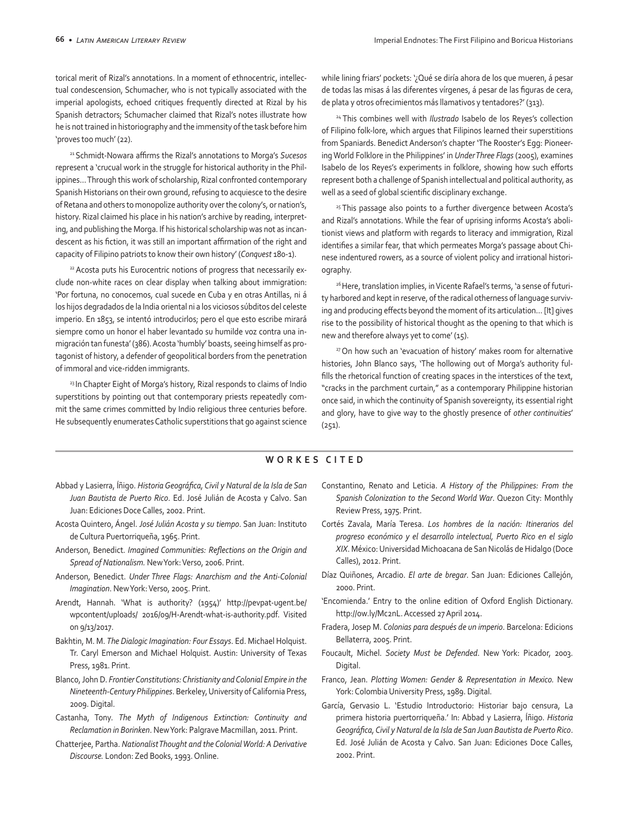torical merit of Rizal's annotations. In a moment of ethnocentric, intellectual condescension, Schumacher, who is not typically associated with the imperial apologists, echoed critiques frequently directed at Rizal by his Spanish detractors; Schumacher claimed that Rizal's notes illustrate how he is not trained in historiography and the immensity of the task before him 'proves too much' (22).

<sup>21</sup>Schmidt-Nowara affirms the Rizal's annotations to Morga's *Sucesos* represent a 'crucual work in the struggle for historical authority in the Philippines… Through this work of scholarship, Rizal confronted contemporary Spanish Historians on their own ground, refusing to acquiesce to the desire of Retana and others to monopolize authority over the colony's, or nation's, history. Rizal claimed his place in his nation's archive by reading, interpreting, and publishing the Morga. If his historical scholarship was not as incandescent as his fiction, it was still an important affirmation of the right and capacity of Filipino patriots to know their own history' (*Conquest* 180-1).

<sup>22</sup> Acosta puts his Eurocentric notions of progress that necessarily exclude non-white races on clear display when talking about immigration: 'Por fortuna, no conocemos, cual sucede en Cuba y en otras Antillas, ni á los hijos degradados de la India oriental ni a los viciosos súbditos del celeste imperio. En 1853, se intentó introducirlos; pero el que esto escribe mirará siempre como un honor el haber levantado su humilde voz contra una inmigración tan funesta' (386). Acosta 'humbly' boasts, seeing himself as protagonist of history, a defender of geopolitical borders from the penetration of immoral and vice-ridden immigrants.

<sup>23</sup> In Chapter Eight of Morga's history, Rizal responds to claims of Indio superstitions by pointing out that contemporary priests repeatedly commit the same crimes committed by Indio religious three centuries before. He subsequently enumerates Catholic superstitions that go against science while lining friars' pockets: '¿Qué se diría ahora de los que mueren, á pesar de todas las misas á las diferentes vírgenes, á pesar de las figuras de cera, de plata y otros ofrecimientos más llamativos y tentadores?' (313).

24 This combines well with *Ilustrado* Isabelo de los Reyes's collection of Filipino folk-lore, which argues that Filipinos learned their superstitions from Spaniards. Benedict Anderson's chapter 'The Rooster's Egg: Pioneering World Folklore in the Philippines' in *Under Three Flags* (2005), examines Isabelo de los Reyes's experiments in folklore, showing how such efforts represent both a challenge of Spanish intellectual and political authority, as well as a seed of global scientific disciplinary exchange.

<sup>25</sup> This passage also points to a further divergence between Acosta's and Rizal's annotations. While the fear of uprising informs Acosta's abolitionist views and platform with regards to literacy and immigration, Rizal identifies a similar fear, that which permeates Morga's passage about Chinese indentured rowers, as a source of violent policy and irrational historiography.

<sup>26</sup> Here, translation implies, in Vicente Rafael's terms, 'a sense of futurity harbored and kept in reserve, of the radical otherness of language surviving and producing effects beyond the moment of its articulation… [It] gives rise to the possibility of historical thought as the opening to that which is new and therefore always yet to come' (15).

<sup>27</sup> On how such an 'evacuation of history' makes room for alternative histories, John Blanco says, 'The hollowing out of Morga's authority fulfills the rhetorical function of creating spaces in the interstices of the text, "cracks in the parchment curtain," as a contemporary Philippine historian once said, in which the continuity of Spanish sovereignty, its essential right and glory, have to give way to the ghostly presence of *other continuities*' (251).

#### **WORKES CITED**

- Abbad y Lasierra, Íñigo. *Historia Geográfica, Civil y Natural de la Isla de San Juan Bautista de Puerto Rico*. Ed. José Julián de Acosta y Calvo. San Juan: Ediciones Doce Calles, 2002. Print.
- Acosta Quintero, Ángel. *José Julián Acosta y su tiempo*. San Juan: Instituto de Cultura Puertorriqueña, 1965. Print.
- Anderson, Benedict. *Imagined Communities: Reflections on the Origin and Spread of Nationalism.* New York: Verso, 2006. Print.
- Anderson, Benedict. *Under Three Flags: Anarchism and the Anti-Colonial Imagination*. New York: Verso, 2005. Print.
- Arendt, Hannah. 'What is authority? (1954)' http://pevpat-ugent.be/ wpcontent/uploads/ 2016/09/H-Arendt-what-is-authority.pdf. Visited on 9/13/2017.
- Bakhtin, M. M. *The Dialogic Imagination: Four Essays*. Ed. Michael Holquist. Tr. Caryl Emerson and Michael Holquist. Austin: University of Texas Press, 1981. Print.
- Blanco, John D. *Frontier Constitutions: Christianity and Colonial Empire in the Nineteenth-Century Philippines*. Berkeley, University of California Press, 2009. Digital.
- Castanha, Tony. *The Myth of Indigenous Extinction: Continuity and Reclamation in Borinken*. New York: Palgrave Macmillan, 2011. Print.
- Chatterjee, Partha. *Nationalist Thought and the Colonial World: A Derivative Discourse.* London: Zed Books, 1993. Online.
- Constantino, Renato and Leticia. *A History of the Philippines: From the Spanish Colonization to the Second World War*. Quezon City: Monthly Review Press, 1975. Print.
- Cortés Zavala, María Teresa. *Los hombres de la nación: Itinerarios del progreso económico y el desarrollo intelectual, Puerto Rico en el siglo XIX*. México: Universidad Michoacana de San Nicolás de Hidalgo (Doce Calles), 2012. Print.
- Díaz Quiñones, Arcadio. *El arte de bregar*. San Juan: Ediciones Callejón, 2000. Print.
- 'Encomienda.' Entry to the online edition of Oxford English Dictionary. http://ow.ly/Mc2nL. Accessed 27 April 2014.
- Fradera, Josep M. *Colonias para después de un imperio*. Barcelona: Edicions Bellaterra, 2005. Print.
- Foucault, Michel. *Society Must be Defended*. New York: Picador, 2003. Digital.
- Franco, Jean. *Plotting Women: Gender & Representation in Mexico.* New York: Colombia University Press, 1989. Digital.
- García, Gervasio L. 'Estudio Introductorio: Historiar bajo censura, La primera historia puertorriqueña.' In: Abbad y Lasierra, Íñigo. *Historia Geográfica, Civil y Natural de la Isla de San Juan Bautista de Puerto Rico*. Ed. José Julián de Acosta y Calvo. San Juan: Ediciones Doce Calles, 2002. Print.